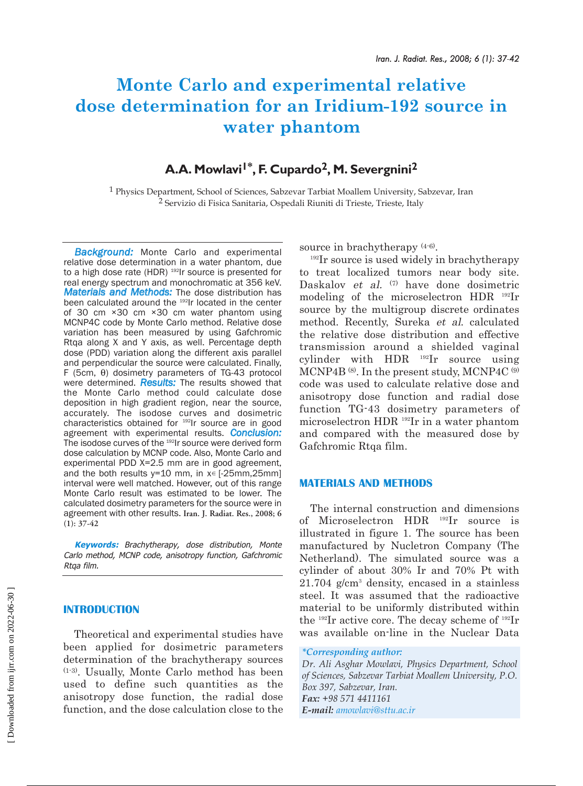# **Monte Carlo and experimental relative dose determination for an Iridium-192 source in water phantom**

# A.A. Mowlavi<sup>1\*</sup>, F. Cupardo<sup>2</sup>, M. Severgnini<sup>2</sup>

1 Physics Department, School of Sciences, Sabzevar Tarbiat Moallem University, Sabzevar, Iran <sup>2</sup> Servizio di Fisica Sanitaria, Ospedali Riuniti di Trieste, Trieste, Italy

*Background:* Monte Carlo and experimental relative dose determination in a water phantom, due to a high dose rate (HDR) <sup>192</sup>Ir source is presented for real energy spectrum and monochromatic at 356 keV. *Materials and Methods:* The dose distribution has been calculated around the <sup>192</sup>Ir located in the center of 30 cm ×30 cm ×30 cm water phantom using MCNP4C code by Monte Carlo method. Relative dose variation has been measured by using Gafchromic Rtqa along X and Y axis, as well. Percentage depth dose (PDD) variation along the different axis parallel and perpendicular the source were calculated. Finally, F (5cm, θ) dosimetry parameters of TG-43 protocol were determined. *Results:* The results showed that the Monte Carlo method could calculate dose deposition in high gradient region, near the source, accurately. The isodose curves and dosimetric characteristics obtained for 192Ir source are in good agreement with experimental results. *Conclusion:* The isodose curves of the <sup>192</sup>Ir source were derived form dose calculation by MCNP code. Also, Monte Carlo and experimental PDD X=2.5 mm are in good agreement, and the both results  $y=10$  mm, in  $x \in [-25$ mm,25mm] interval were well matched. However, out of this range Monte Carlo result was estimated to be lower. The calculated dosimetry parameters for the source were in agreement with other results. **Iran. J. Radiat. Res., 2008; 6 (1): 37-42**

**Keywords:** Brachytherapy, dose distribution, Monte Carlo method, MCNP code, anisotropy function, Gafchromic Rtqa film.

## **INTRODUCTION**

Theoretical and experimental studies have been applied for dosimetric parameters determination of the brachytherapy sources (1-3). Usually, Monte Carlo method has been used to define such quantities as the anisotropy dose function, the radial dose function, and the dose calculation close to the

source in brachytherapy (4-6).

<sup>192</sup>Ir source is used widely in brachytherapy to treat localized tumors near body site. Daskalov et al. (7) have done dosimetric modeling of the microselectron HDR 192Ir source by the multigroup discrete ordinates method. Recently, Sureka et al. calculated the relative dose distribution and effective transmission around a shielded vaginal cylinder with HDR 192Ir source using MCNP4B (8). In the present study, MCNP4C (9) code was used to calculate relative dose and anisotropy dose function and radial dose function TG-43 dosimetry parameters of microselectron HDR 192Ir in a water phantom and compared with the measured dose by Gafchromic Rtqa film.

#### **MATERIALS AND METHODS**

The internal construction and dimensions of Microselectron HDR 192Ir source is illustrated in figure 1. The source has been manufactured by Nucletron Company (The Netherland). The simulated source was a cylinder of about 30% Ir and 70% Pt with 21.704 g/cm3 density, encased in a stainless steel. It was assumed that the radioactive material to be uniformly distributed within the 192Ir active core. The decay scheme of 192Ir was available on-line in the Nuclear Data

```
*Corresponding author:
```
*Dr. Ali Asghar Mowlavi, Physics Department, School of Sciences, Sabzevar Tarbiat Moallem University, P.O. Box 397, Sabzevar, Iran. Fax: +98 571 4411161 E-mail: amowlavi@sttu.ac.ir*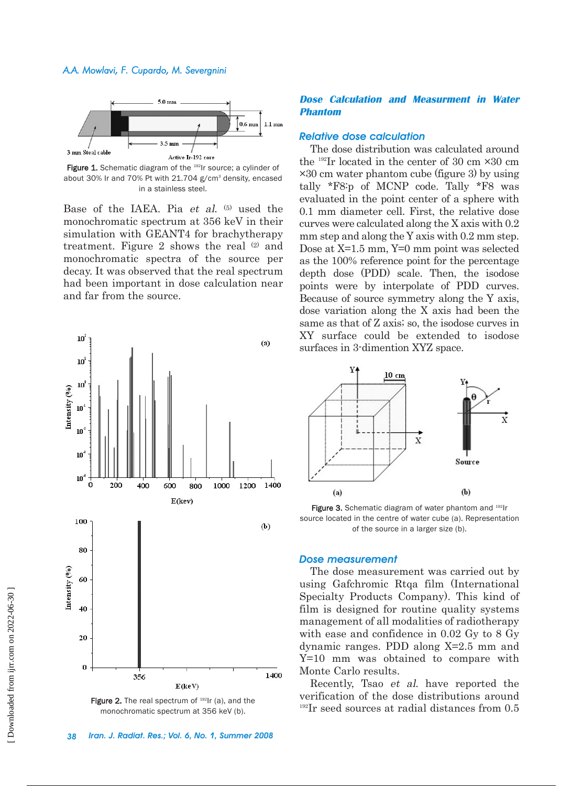

Figure 1. Schematic diagram of the <sup>192</sup>Ir source; a cylinder of about 30% Ir and 70% Pt with 21.704 g/cm<sup>3</sup> density, encased in a stainless steel.

Base of the IAEA. Pia et al. (5) used the monochromatic spectrum at 356 keV in their simulation with GEANT4 for brachytherapy treatment. Figure 2 shows the real (2) and monochromatic spectra of the source per decay. It was observed that the real spectrum had been important in dose calculation near and far from the source.



Figure 2. The real spectrum of  $192$ Ir (a), and the monochromatic spectrum at 356 keV (b).

#### **Dose Calculation and Measurment in Water Phantom**

#### *Relative dose calculation*

The dose distribution was calculated around the  $^{192}$ Ir located in the center of 30 cm  $\times$ 30 cm ×30 cm water phantom cube (figure 3) by using tally \*F8:p of MCNP code. Tally \*F8 was evaluated in the point center of a sphere with 0.1 mm diameter cell. First, the relative dose curves were calculated along the X axis with 0.2 mm step and along the Y axis with 0.2 mm step. Dose at X=1.5 mm, Y=0 mm point was selected as the 100% reference point for the percentage depth dose (PDD) scale. Then, the isodose points were by interpolate of PDD curves. Because of source symmetry along the Y axis, dose variation along the X axis had been the same as that of Z axis; so, the isodose curves in XY surface could be extended to isodose surfaces in 3-dimention XYZ space.



Figure 3. Schematic diagram of water phantom and 192Ir source located in the centre of water cube (a). Representation of the source in a larger size (b).

#### *Dose measurement*

The dose measurement was carried out by using Gafchromic Rtqa film (International Specialty Products Company). This kind of film is designed for routine quality systems management of all modalities of radiotherapy with ease and confidence in 0.02 Gy to 8 Gy dynamic ranges. PDD along X=2.5 mm and Y=10 mm was obtained to compare with Monte Carlo results.

Recently, Tsao et al. have reported the verification of the dose distributions around <sup>192</sup>Ir seed sources at radial distances from 0.5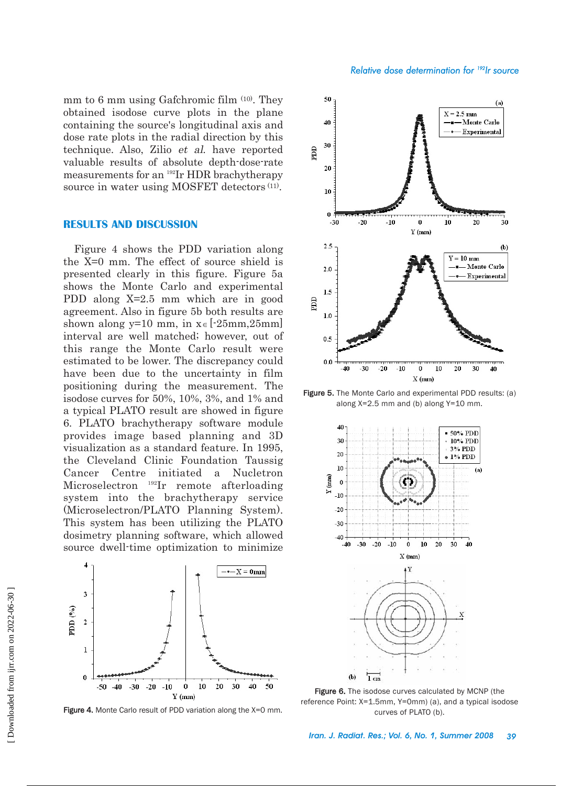mm to 6 mm using Gafchromic film (10). They obtained isodose curve plots in the plane containing the source's longitudinal axis and dose rate plots in the radial direction by this technique. Also, Zilio et al. have reported valuable results of absolute depth-dose-rate measurements for an 192Ir HDR brachytherapy source in water using MOSFET detectors (11).

#### **RESULTS AND DISCUSSION**

Figure 4 shows the PDD variation along the X=0 mm. The effect of source shield is presented clearly in this figure. Figure 5a shows the Monte Carlo and experimental PDD along X=2.5 mm which are in good agreement. Also in figure 5b both results are shown along y=10 mm, in  $x \in [-25 \text{mm}, 25 \text{mm}]$ interval are well matched; however, out of this range the Monte Carlo result were estimated to be lower. The discrepancy could have been due to the uncertainty in film positioning during the measurement. The isodose curves for 50%, 10%, 3%, and 1% and a typical PLATO result are showed in figure 6. PLATO brachytherapy software module provides image based planning and 3D visualization as a standard feature. In 1995, the Cleveland Clinic Foundation Taussig Cancer Centre initiated a Nucletron Microselectron 192Ir remote afterloading system into the brachytherapy service (Microselectron/PLATO Planning System). This system has been utilizing the PLATO dosimetry planning software, which allowed source dwell-time optimization to minimize



Figure 4. Monte Carlo result of PDD variation along the X=0 mm.



Figure 5. The Monte Carlo and experimental PDD results: (a) along X=2.5 mm and (b) along Y=10 mm.



Figure 6. The isodose curves calculated by MCNP (the reference Point: X=1.5mm, Y=0mm) (a), and a typical isodose curves of PLATO (b).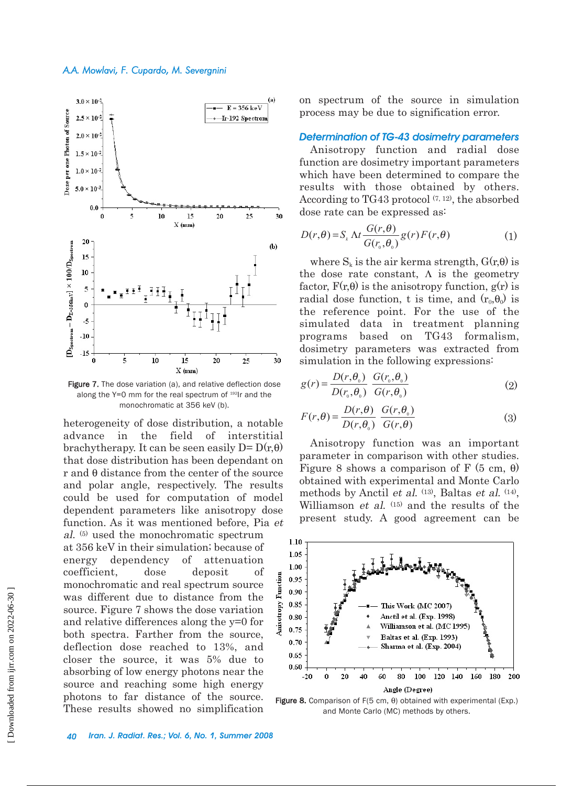

Figure 7. The dose variation (a), and relative deflection dose along the  $Y=0$  mm for the real spectrum of  $192$ Ir and the monochromatic at 356 keV (b).

heterogeneity of dose distribution, a notable advance in the field of interstitial brachytherapy. It can be seen easily  $D = D(r, \theta)$ that dose distribution has been dependant on r and θ distance from the center of the source and polar angle, respectively. The results could be used for computation of model dependent parameters like anisotropy dose function. As it was mentioned before, Pia et al. (5) used the monochromatic spectrum

at 356 keV in their simulation; because of energy dependency of attenuation coefficient, dose deposit of monochromatic and real spectrum source was different due to distance from the source. Figure 7 shows the dose variation and relative differences along the y=0 for both spectra. Farther from the source, deflection dose reached to 13%, and closer the source, it was 5% due to absorbing of low energy photons near the source and reaching some high energy photons to far distance of the source. These results showed no simplification on spectrum of the source in simulation process may be due to signification error.

### *Determination of TG-43 dosimetry parameters*

Anisotropy function and radial dose function are dosimetry important parameters which have been determined to compare the results with those obtained by others. According to TG43 protocol  $(7, 12)$ , the absorbed dose rate can be expressed as:

$$
D(r,\theta) = S_{k} \Delta t \frac{G(r,\theta)}{G(r_{0},\theta_{0})} g(r) F(r,\theta)
$$
 (1)

where  $S_k$  is the air kerma strength,  $G(r,\theta)$  is the dose rate constant,  $\Lambda$  is the geometry factor,  $F(r,\theta)$  is the anisotropy function,  $g(r)$  is radial dose function, t is time, and  $(r_0, \theta_0)$  is the reference point. For the use of the simulated data in treatment planning programs based on TG43 formalism, dosimetry parameters was extracted from simulation in the following expressions:

$$
g(r) = \frac{D(r, \theta_0)}{D(r_0, \theta_0)} \frac{G(r_0, \theta_0)}{G(r, \theta_0)}
$$
(2)

$$
F(r,\theta) = \frac{D(r,\theta)}{D(r,\theta_0)} \frac{G(r,\theta_0)}{G(r,\theta)}
$$
(3)

Anisotropy function was an important parameter in comparison with other studies. Figure 8 shows a comparison of F (5 cm,  $\theta$ ) obtained with experimental and Monte Carlo methods by Anctil et al. <sup>(13)</sup>, Baltas et al. <sup>(14)</sup>, Williamson *et al.* (15) and the results of the present study. A good agreement can be



Figure 8. Comparison of F(5 cm,  $θ$ ) obtained with experimental (Exp.) and Monte Carlo (MC) methods by others.